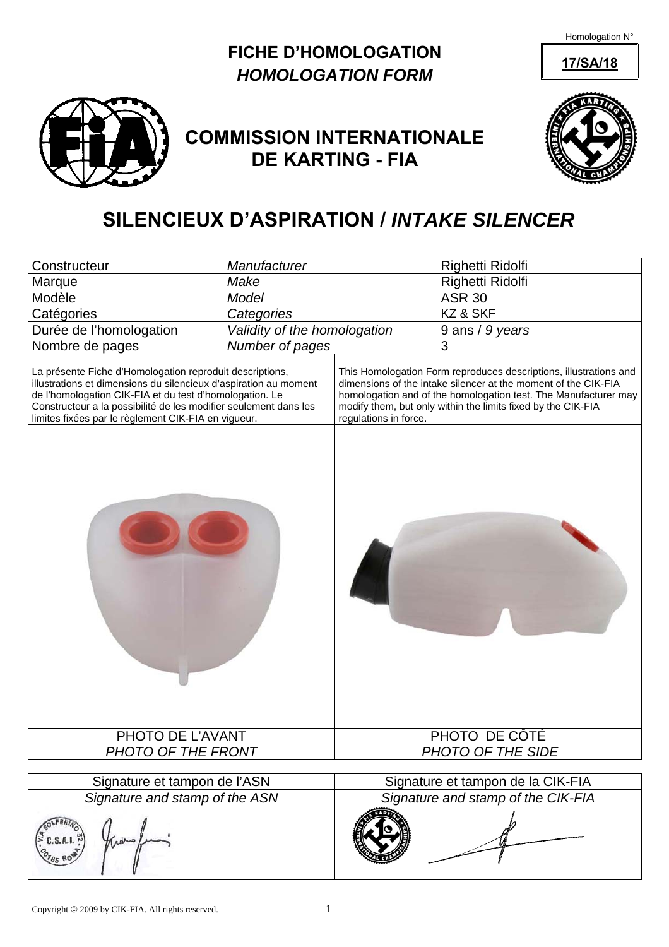Homologation N°

## **FICHE D'HOMOLOGATION** 17/SA/18 *HOMOLOGATION FORM*



## **COMMISSION INTERNATIONALE DE KARTING - FIA**



## **SILENCIEUX D'ASPIRATION /** *INTAKE SILENCER*

| Constructeur                                                                                                                                                                                                                                                                                                       | Manufacturer                 |                                                                                                                                                                                                                                                                                                 | Righetti Ridolfi  |  |
|--------------------------------------------------------------------------------------------------------------------------------------------------------------------------------------------------------------------------------------------------------------------------------------------------------------------|------------------------------|-------------------------------------------------------------------------------------------------------------------------------------------------------------------------------------------------------------------------------------------------------------------------------------------------|-------------------|--|
| Marque                                                                                                                                                                                                                                                                                                             | Make                         |                                                                                                                                                                                                                                                                                                 | Righetti Ridolfi  |  |
| Modèle                                                                                                                                                                                                                                                                                                             | Model                        |                                                                                                                                                                                                                                                                                                 | <b>ASR 30</b>     |  |
| Catégories                                                                                                                                                                                                                                                                                                         | Categories                   |                                                                                                                                                                                                                                                                                                 | KZ & SKF          |  |
| Durée de l'homologation                                                                                                                                                                                                                                                                                            | Validity of the homologation |                                                                                                                                                                                                                                                                                                 | 9 ans / 9 years   |  |
| Nombre de pages                                                                                                                                                                                                                                                                                                    | Number of pages              |                                                                                                                                                                                                                                                                                                 | 3                 |  |
| La présente Fiche d'Homologation reproduit descriptions,<br>illustrations et dimensions du silencieux d'aspiration au moment<br>de l'homologation CIK-FIA et du test d'homologation. Le<br>Constructeur a la possibilité de les modifier seulement dans les<br>limites fixées par le règlement CIK-FIA en vigueur. |                              | This Homologation Form reproduces descriptions, illustrations and<br>dimensions of the intake silencer at the moment of the CIK-FIA<br>homologation and of the homologation test. The Manufacturer may<br>modify them, but only within the limits fixed by the CIK-FIA<br>regulations in force. |                   |  |
|                                                                                                                                                                                                                                                                                                                    |                              |                                                                                                                                                                                                                                                                                                 |                   |  |
| PHOTO DE L'AVANT                                                                                                                                                                                                                                                                                                   |                              | PHOTO DE CÔTÉ                                                                                                                                                                                                                                                                                   |                   |  |
| PHOTO OF THE FRONT                                                                                                                                                                                                                                                                                                 |                              |                                                                                                                                                                                                                                                                                                 | PHOTO OF THE SIDE |  |
|                                                                                                                                                                                                                                                                                                                    |                              |                                                                                                                                                                                                                                                                                                 |                   |  |
| Signature et tampon de l'ASN<br>Signature and stamp of the ASN                                                                                                                                                                                                                                                     |                              | Signature et tampon de la CIK-FIA<br>Signature and stamp of the CIK-FIA                                                                                                                                                                                                                         |                   |  |
|                                                                                                                                                                                                                                                                                                                    |                              |                                                                                                                                                                                                                                                                                                 |                   |  |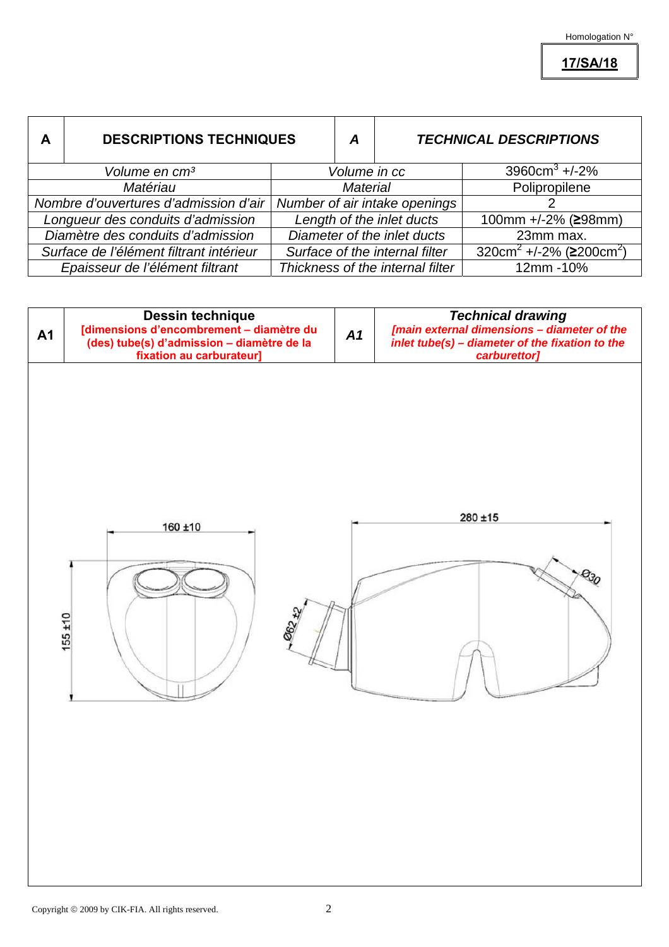**17/SA/18**

| A                                       | <b>DESCRIPTIONS TECHNIQUES</b> |                                  | A | <b>TECHNICAL DESCRIPTIONS</b>                          |
|-----------------------------------------|--------------------------------|----------------------------------|---|--------------------------------------------------------|
|                                         | Volume en cm <sup>3</sup>      | Volume in cc                     |   | 3960cm <sup>3</sup> +/-2%                              |
| Matériau                                |                                | <b>Material</b>                  |   | Polipropilene                                          |
| Nombre d'ouvertures d'admission d'air   |                                | Number of air intake openings    |   |                                                        |
| Longueur des conduits d'admission       |                                | Length of the inlet ducts        |   | 100mm +/-2% (≥98mm)                                    |
| Diamètre des conduits d'admission       |                                | Diameter of the inlet ducts      |   | 23mm max.                                              |
| Surface de l'élément filtrant intérieur |                                | Surface of the internal filter   |   | 320cm <sup>2</sup> +/-2% ( $\geq$ 200cm <sup>2</sup> ) |
| Epaisseur de l'élément filtrant         |                                | Thickness of the internal filter |   | 12mm - 10%                                             |

| <b>A1</b> | Dessin technique<br>[dimensions d'encombrement – diamètre du<br>(des) tube(s) d'admission – diamètre de la<br>fixation au carburateur] |        | A1 | <b>Technical drawing</b><br>[main external dimensions - diameter of the<br>inlet tube(s) - diameter of the fixation to the<br>carburettor] |  |
|-----------|----------------------------------------------------------------------------------------------------------------------------------------|--------|----|--------------------------------------------------------------------------------------------------------------------------------------------|--|
|           | 160 ±10<br>$155 + 10$                                                                                                                  | 062 +2 |    | $280 \pm 15$<br>$\theta_{30}$                                                                                                              |  |

 $\mathsf{l}$